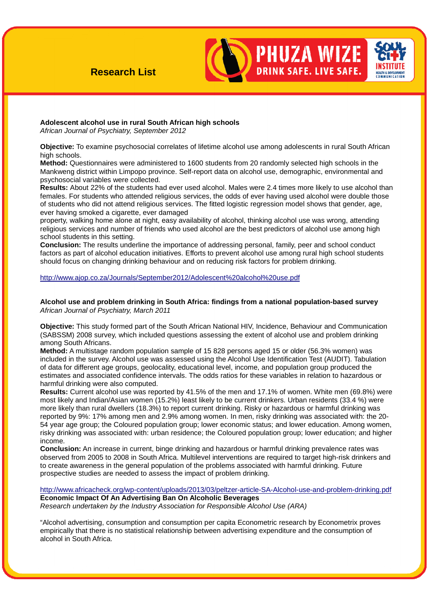# **Research List**



**PHUZA WIZE** 

**DRINK SAFE. LIVE SAFE.** 

# **Adolescent alcohol use in rural South African high schools**

African Journal of Psychiatry, September 2012

**Objective:** To examine psychosocial correlates of lifetime alcohol use among adolescents in rural South African high schools.

**Method:** Questionnaires were administered to 1600 students from 20 randomly selected high schools in the Mankweng district within Limpopo province. Self-report data on alcohol use, demographic, environmental and psychosocial variables were collected.

**Results:** About 22% of the students had ever used alcohol. Males were 2.4 times more likely to use alcohol than females. For students who attended religious services, the odds of ever having used alcohol were double those of students who did not attend religious services. The fitted logistic regression model shows that gender, age, ever having smoked a cigarette, ever damaged

property, walking home alone at night, easy availability of alcohol, thinking alcohol use was wrong, attending religious services and number of friends who used alcohol are the best predictors of alcohol use among high school students in this setting.

**Conclusion:** The results underline the importance of addressing personal, family, peer and school conduct factors as part of alcohol education initiatives. Efforts to prevent alcohol use among rural high school students should focus on changing drinking behaviour and on reducing risk factors for problem drinking.

# http://www.ajop.co.za/Journals/September2012/Adolescent%20alcohol%20use.pdf

# **Alcohol use and problem drinking in South Africa: findings from a national population-based survey**  African Journal of Psychiatry, March 2011

**Objective:** This study formed part of the South African National HIV, Incidence, Behaviour and Communication (SABSSM) 2008 survey, which included questions assessing the extent of alcohol use and problem drinking among South Africans.

**Method:** A multistage random population sample of 15 828 persons aged 15 or older (56.3% women) was included in the survey. Alcohol use was assessed using the Alcohol Use Identification Test (AUDIT). Tabulation of data for different age groups, geolocality, educational level, income, and population group produced the estimates and associated confidence intervals. The odds ratios for these variables in relation to hazardous or harmful drinking were also computed.

**Results:** Current alcohol use was reported by 41.5% of the men and 17.1% of women. White men (69.8%) were most likely and Indian/Asian women (15.2%) least likely to be current drinkers. Urban residents (33.4 %) were more likely than rural dwellers (18.3%) to report current drinking. Risky or hazardous or harmful drinking was reported by 9%: 17% among men and 2.9% among women. In men, risky drinking was associated with: the 20- 54 year age group; the Coloured population group; lower economic status; and lower education. Among women, risky drinking was associated with: urban residence; the Coloured population group; lower education; and higher income.

**Conclusion:** An increase in current, binge drinking and hazardous or harmful drinking prevalence rates was observed from 2005 to 2008 in South Africa. Multilevel interventions are required to target high-risk drinkers and to create awareness in the general population of the problems associated with harmful drinking. Future prospective studies are needed to assess the impact of problem drinking.

http://www.africacheck.org/wp-content/uploads/2013/03/peltzer-article-SA-Alcohol-use-and-problem-drinking.pdf **Economic Impact Of An Advertising Ban On Alcoholic Beverages** Research undertaken by the Industry Association for Responsible Alcohol Use (ARA)

"Alcohol advertising, consumption and consumption per capita Econometric research by Econometrix proves empirically that there is no statistical relationship between advertising expenditure and the consumption of alcohol in South Africa.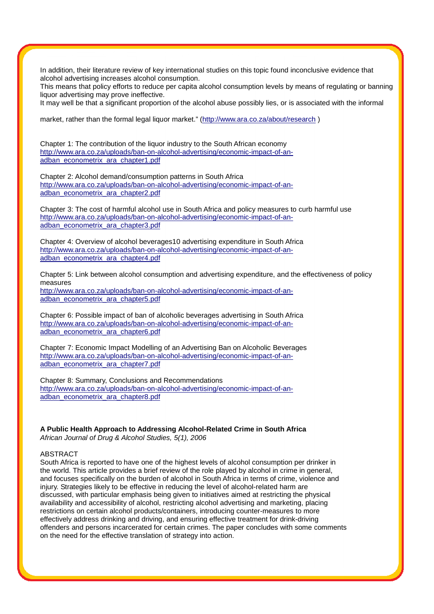In addition, their literature review of key international studies on this topic found inconclusive evidence that alcohol advertising increases alcohol consumption.

This means that policy efforts to reduce per capita alcohol consumption levels by means of regulating or banning liquor advertising may prove ineffective.

It may well be that a significant proportion of the alcohol abuse possibly lies, or is associated with the informal

market, rather than the formal legal liquor market." (http://www.ara.co.za/about/research)

Chapter 1: The contribution of the liquor industry to the South African economy http://www.ara.co.za/uploads/ban-on-alcohol-advertising/economic-impact-of-anadban\_econometrix\_ara\_chapter1.pdf

Chapter 2: Alcohol demand/consumption patterns in South Africa http://www.ara.co.za/uploads/ban-on-alcohol-advertising/economic-impact-of-anadban\_econometrix\_ara\_chapter2.pdf

Chapter 3: The cost of harmful alcohol use in South Africa and policy measures to curb harmful use http://www.ara.co.za/uploads/ban-on-alcohol-advertising/economic-impact-of-anadban\_econometrix\_ara\_chapter3.pdf

Chapter 4: Overview of alcohol beverages10 advertising expenditure in South Africa http://www.ara.co.za/uploads/ban-on-alcohol-advertising/economic-impact-of-anadban\_econometrix\_ara\_chapter4.pdf

Chapter 5: Link between alcohol consumption and advertising expenditure, and the effectiveness of policy measures

http://www.ara.co.za/uploads/ban-on-alcohol-advertising/economic-impact-of-anadban\_econometrix\_ara\_chapter5.pdf

Chapter 6: Possible impact of ban of alcoholic beverages advertising in South Africa http://www.ara.co.za/uploads/ban-on-alcohol-advertising/economic-impact-of-anadban\_econometrix\_ara\_chapter6.pdf

Chapter 7: Economic Impact Modelling of an Advertising Ban on Alcoholic Beverages http://www.ara.co.za/uploads/ban-on-alcohol-advertising/economic-impact-of-anadban\_econometrix\_ara\_chapter7.pdf

Chapter 8: Summary, Conclusions and Recommendations http://www.ara.co.za/uploads/ban-on-alcohol-advertising/economic-impact-of-anadban\_econometrix\_ara\_chapter8.pdf

**A Public Health Approach to Addressing Alcohol-Related Crime in South Africa** African Journal of Drug & Alcohol Studies, 5(1), 2006

#### ABSTRACT

South Africa is reported to have one of the highest levels of alcohol consumption per drinker in the world. This article provides a brief review of the role played by alcohol in crime in general, and focuses specifically on the burden of alcohol in South Africa in terms of crime, violence and injury. Strategies likely to be effective in reducing the level of alcohol-related harm are discussed, with particular emphasis being given to initiatives aimed at restricting the physical availability and accessibility of alcohol, restricting alcohol advertising and marketing, placing restrictions on certain alcohol products/containers, introducing counter-measures to more effectively address drinking and driving, and ensuring effective treatment for drink-driving offenders and persons incarcerated for certain crimes. The paper concludes with some comments on the need for the effective translation of strategy into action.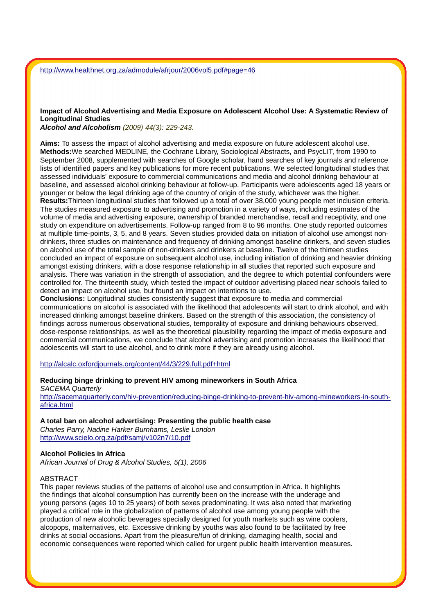# **Impact of Alcohol Advertising and Media Exposure on Adolescent Alcohol Use: A Systematic Review of Longitudinal Studies**

# **Alcohol and Alcoholism** (2009) 44(3): 229-243.

**Aims:** To assess the impact of alcohol advertising and media exposure on future adolescent alcohol use. **Methods:**We searched MEDLINE, the Cochrane Library, Sociological Abstracts, and PsycLIT, from 1990 to September 2008, supplemented with searches of Google scholar, hand searches of key journals and reference lists of identified papers and key publications for more recent publications. We selected longitudinal studies that assessed individuals' exposure to commercial communications and media and alcohol drinking behaviour at baseline, and assessed alcohol drinking behaviour at follow-up. Participants were adolescents aged 18 years or younger or below the legal drinking age of the country of origin of the study, whichever was the higher. **Results:**Thirteen longitudinal studies that followed up a total of over 38,000 young people met inclusion criteria. The studies measured exposure to advertising and promotion in a variety of ways, including estimates of the volume of media and advertising exposure, ownership of branded merchandise, recall and receptivity, and one study on expenditure on advertisements. Follow-up ranged from 8 to 96 months. One study reported outcomes at multiple time-points, 3, 5, and 8 years. Seven studies provided data on initiation of alcohol use amongst nondrinkers, three studies on maintenance and frequency of drinking amongst baseline drinkers, and seven studies on alcohol use of the total sample of non-drinkers and drinkers at baseline. Twelve of the thirteen studies concluded an impact of exposure on subsequent alcohol use, including initiation of drinking and heavier drinking amongst existing drinkers, with a dose response relationship in all studies that reported such exposure and analysis. There was variation in the strength of association, and the degree to which potential confounders were controlled for. The thirteenth study, which tested the impact of outdoor advertising placed near schools failed to detect an impact on alcohol use, but found an impact on intentions to use.

**Conclusions:** Longitudinal studies consistently suggest that exposure to media and commercial communications on alcohol is associated with the likelihood that adolescents will start to drink alcohol, and with increased drinking amongst baseline drinkers. Based on the strength of this association, the consistency of findings across numerous observational studies, temporality of exposure and drinking behaviours observed, dose-response relationships, as well as the theoretical plausibility regarding the impact of media exposure and commercial communications, we conclude that alcohol advertising and promotion increases the likelihood that adolescents will start to use alcohol, and to drink more if they are already using alcohol.

# http://alcalc.oxfordjournals.org/content/44/3/229.full.pdf+html

#### **Reducing binge drinking to prevent HIV among mineworkers in South Africa**

SACEMA Quarterly

http://sacemaquarterly.com/hiv-prevention/reducing-binge-drinking-to-prevent-hiv-among-mineworkers-in-southafrica.html

#### **A total ban on alcohol advertising: Presenting the public health case**

Charles Parry, Nadine Harker Burnhams, Leslie London http://www.scielo.org.za/pdf/samj/v102n7/10.pdf

#### **Alcohol Policies in Africa**

African Journal of Drug & Alcohol Studies, 5(1), 2006

#### ABSTRACT

This paper reviews studies of the patterns of alcohol use and consumption in Africa. It highlights the findings that alcohol consumption has currently been on the increase with the underage and young persons (ages 10 to 25 years) of both sexes predominating. It was also noted that marketing played a critical role in the globalization of patterns of alcohol use among young people with the production of new alcoholic beverages specially designed for youth markets such as wine coolers, alcopops, malternatives, etc. Excessive drinking by youths was also found to be facilitated by free drinks at social occasions. Apart from the pleasure/fun of drinking, damaging health, social and economic consequences were reported which called for urgent public health intervention measures.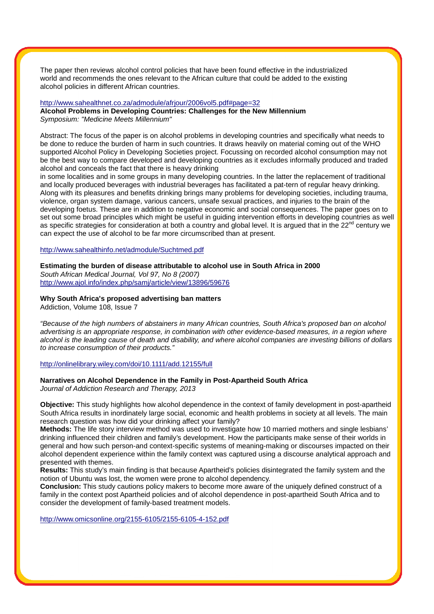The paper then reviews alcohol control policies that have been found effective in the industrialized world and recommends the ones relevant to the African culture that could be added to the existing alcohol policies in different African countries.

#### http://www.sahealthnet.co.za/admodule/afrjour/2006vol5.pdf#page=32

**Alcohol Problems in Developing Countries: Challenges for the New Millennium**  Symposium: "Medicine Meets Millennium"

Abstract: The focus of the paper is on alcohol problems in developing countries and specifically what needs to be done to reduce the burden of harm in such countries. It draws heavily on material coming out of the WHO supported Alcohol Policy in Developing Societies project. Focussing on recorded alcohol consumption may not be the best way to compare developed and developing countries as it excludes informally produced and traded alcohol and conceals the fact that there is heavy drinking

in some localities and in some groups in many developing countries. In the latter the replacement of traditional and locally produced beverages with industrial beverages has facilitated a pat-tern of regular heavy drinking. Along with its pleasures and benefits drinking brings many problems for developing societies, including trauma, violence, organ system damage, various cancers, unsafe sexual practices, and injuries to the brain of the developing foetus. These are in addition to negative economic and social consequences. The paper goes on to set out some broad principles which might be useful in guiding intervention efforts in developing countries as well as specific strategies for consideration at both a country and global level. It is argued that in the 22<sup>nd</sup> century we can expect the use of alcohol to be far more circumscribed than at present.

http://www.sahealthinfo.net/admodule/Suchtmed.pdf

**Estimating the burden of disease attributable to alcohol use in South Africa in 2000** 

South African Medical Journal, Vol 97, No 8 (2007) http://www.ajol.info/index.php/samj/article/view/13896/59676

# **Why South Africa's proposed advertising ban matters**

Addiction, Volume 108, Issue 7

"Because of the high numbers of abstainers in many African countries, South Africa's proposed ban on alcohol advertising is an appropriate response, in combination with other evidence-based measures, in a region where alcohol is the leading cause of death and disability, and where alcohol companies are investing billions of dollars to increase consumption of their products."

### http://onlinelibrary.wiley.com/doi/10.1111/add.12155/full

# **Narratives on Alcohol Dependence in the Family in Post-Apartheid South Africa**

Journal of Addiction Research and Therapy, 2013

**Objective:** This study highlights how alcohol dependence in the context of family development in post-apartheid South Africa results in inordinately large social, economic and health problems in society at all levels. The main research question was how did your drinking affect your family?

**Methods:** The life story interview method was used to investigate how 10 married mothers and single lesbians' drinking influenced their children and family's development. How the participants make sense of their worlds in general and how such person-and context-specific systems of meaning-making or discourses impacted on their alcohol dependent experience within the family context was captured using a discourse analytical approach and presented with themes.

**Results:** This study's main finding is that because Apartheid's policies disintegrated the family system and the notion of Ubuntu was lost, the women were prone to alcohol dependency.

**Conclusion:** This study cautions policy makers to become more aware of the uniquely defined construct of a family in the context post Apartheid policies and of alcohol dependence in post-apartheid South Africa and to consider the development of family-based treatment models.

http://www.omicsonline.org/2155-6105/2155-6105-4-152.pdf